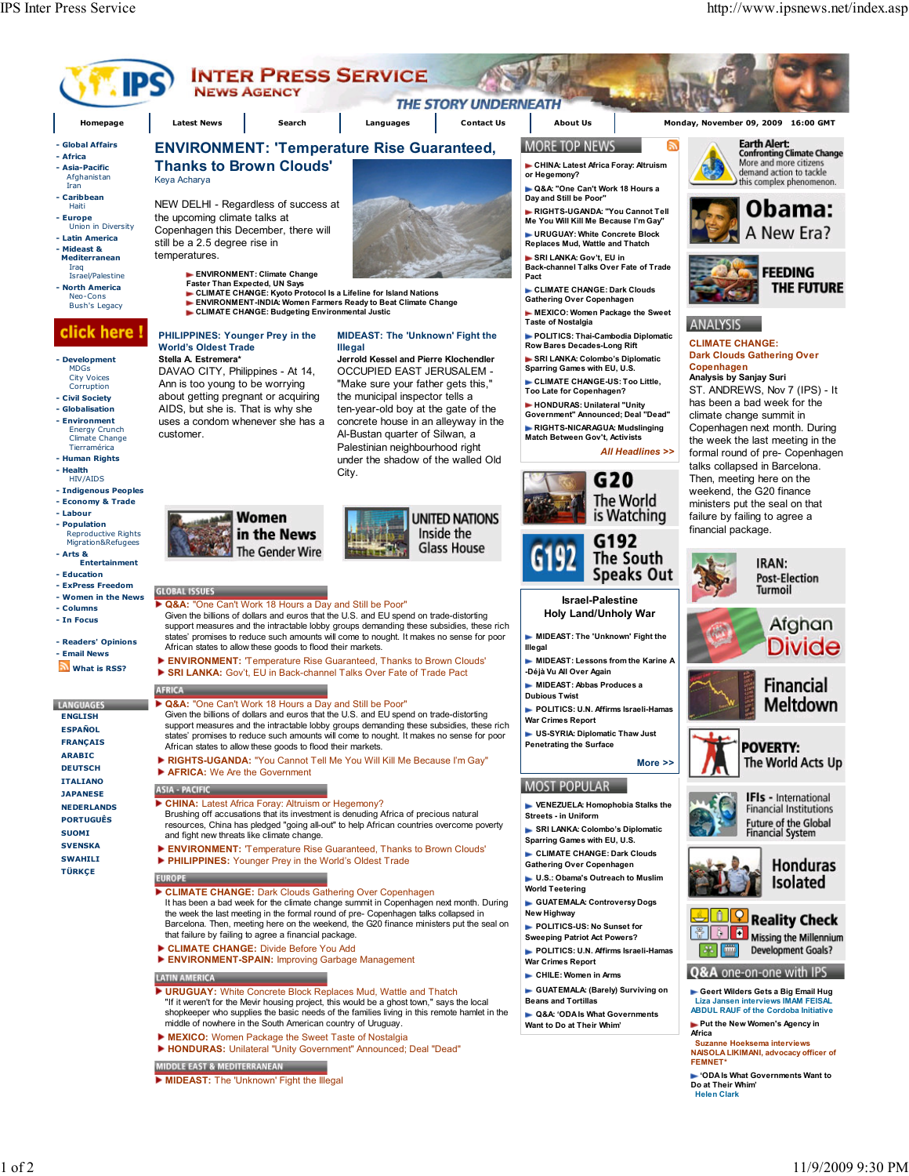